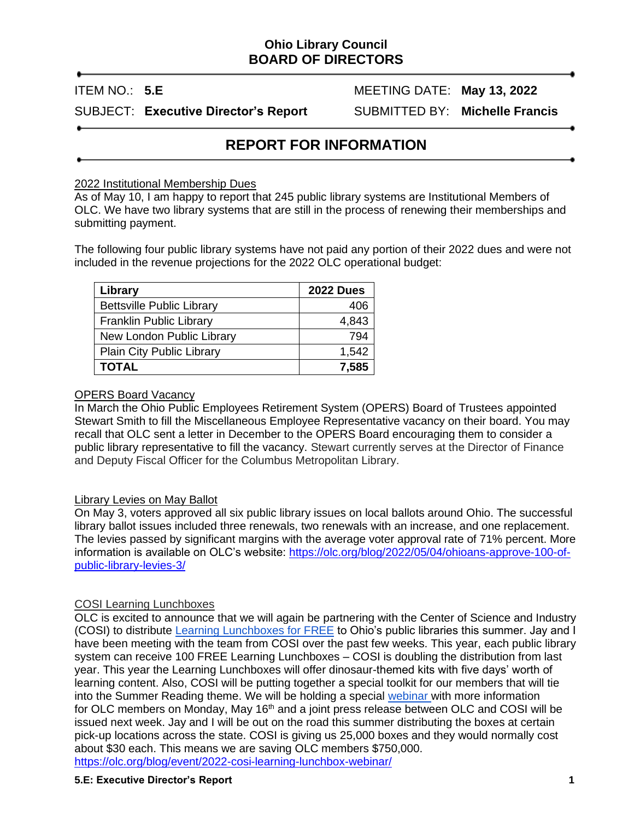# **Ohio Library Council BOARD OF DIRECTORS**

ITEM NO.: 5.E MEETING DATE: May 13, 2022

SUBJECT: **Executive Director's Report** SUBMITTED BY: **Michelle Francis**

# **REPORT FOR INFORMATION**

### 2022 Institutional Membership Dues

As of May 10, I am happy to report that 245 public library systems are Institutional Members of OLC. We have two library systems that are still in the process of renewing their memberships and submitting payment.

The following four public library systems have not paid any portion of their 2022 dues and were not included in the revenue projections for the 2022 OLC operational budget:

| Library                          | <b>2022 Dues</b> |
|----------------------------------|------------------|
| <b>Bettsville Public Library</b> | 406              |
| <b>Franklin Public Library</b>   | 4,843            |
| New London Public Library        | 794              |
| Plain City Public Library        | 1,542            |
| <b>TOTAL</b>                     | 7,585            |

#### OPERS Board Vacancy

In March the Ohio Public Employees Retirement System (OPERS) Board of Trustees appointed Stewart Smith to fill the Miscellaneous Employee Representative vacancy on their board. You may recall that OLC sent a letter in December to the OPERS Board encouraging them to consider a public library representative to fill the vacancy. Stewart currently serves at the Director of Finance and Deputy Fiscal Officer for the Columbus Metropolitan Library.

### Library Levies on May Ballot

On May 3, voters approved all six public library issues on local ballots around Ohio. The successful library ballot issues included three renewals, two renewals with an increase, and one replacement. The levies passed by significant margins with the average voter approval rate of 71% percent. More information is available on OLC's website: [https://olc.org/blog/2022/05/04/ohioans-approve-100-of](https://olc.org/blog/2022/05/04/ohioans-approve-100-of-public-library-levies-3/)[public-library-levies-3/](https://olc.org/blog/2022/05/04/ohioans-approve-100-of-public-library-levies-3/)

### COSI Learning Lunchboxes

OLC is excited to announce that we will again be partnering with the Center of Science and Industry (COSI) to distribute [Learning Lunchboxes for FREE](https://olc.org/blog/event/2022-cosi-learning-lunchbox-webinar/?instance_id=506) to Ohio's public libraries this summer. Jay and I have been meeting with the team from COSI over the past few weeks. This year, each public library system can receive 100 FREE Learning Lunchboxes – COSI is doubling the distribution from last year. This year the Learning Lunchboxes will offer dinosaur-themed kits with five days' worth of learning content. Also, COSI will be putting together a special toolkit for our members that will tie into the Summer Reading theme. We will be holding a special [webinar](https://olc.org/blog/event/2022-cosi-learning-lunchbox-webinar/?instance_id=506) with more information for OLC members on Monday, May 16<sup>th</sup> and a joint press release between OLC and COSI will be issued next week. Jay and I will be out on the road this summer distributing the boxes at certain pick-up locations across the state. COSI is giving us 25,000 boxes and they would normally cost about \$30 each. This means we are saving OLC members \$750,000. <https://olc.org/blog/event/2022-cosi-learning-lunchbox-webinar/>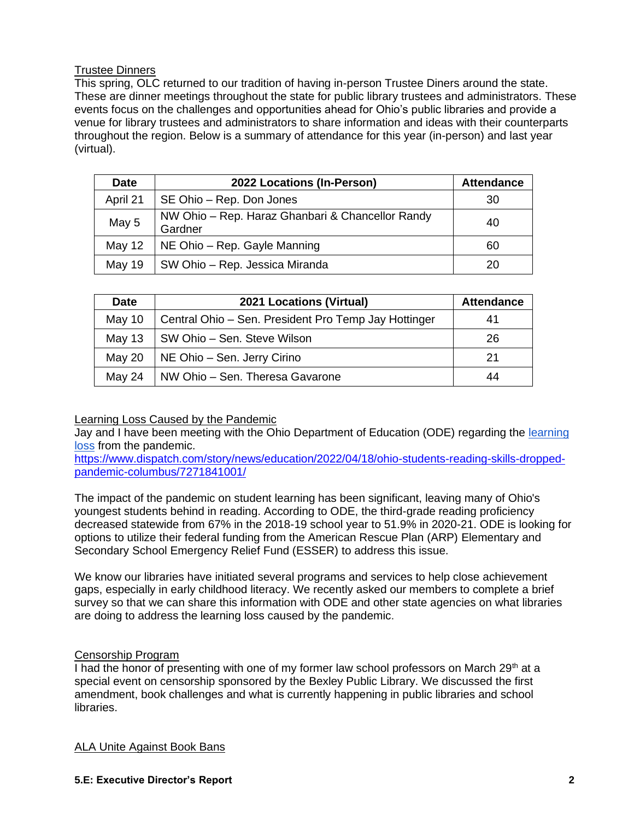## Trustee Dinners

This spring, OLC returned to our tradition of having in-person Trustee Diners around the state. These are dinner meetings throughout the state for public library trustees and administrators. These events focus on the challenges and opportunities ahead for Ohio's public libraries and provide a venue for library trustees and administrators to share information and ideas with their counterparts throughout the region. Below is a summary of attendance for this year (in-person) and last year (virtual).

| <b>Date</b> | 2022 Locations (In-Person)                                  | <b>Attendance</b> |
|-------------|-------------------------------------------------------------|-------------------|
| April 21    | SE Ohio – Rep. Don Jones                                    | 30                |
| May 5       | NW Ohio – Rep. Haraz Ghanbari & Chancellor Randy<br>Gardner | 40                |
| May 12      | NE Ohio - Rep. Gayle Manning                                | 60                |
| May 19      | SW Ohio - Rep. Jessica Miranda                              | 20                |

| <b>Date</b> | <b>2021 Locations (Virtual)</b>                      | <b>Attendance</b> |
|-------------|------------------------------------------------------|-------------------|
| May 10      | Central Ohio - Sen. President Pro Temp Jay Hottinger | 41                |
| May 13      | SW Ohio – Sen. Steve Wilson                          | 26                |
| May 20      | NE Ohio - Sen. Jerry Cirino                          | 21                |
| May 24      | NW Ohio - Sen. Theresa Gavarone                      | 44                |

### Learning Loss Caused by the Pandemic

Jay and I have been meeting with the Ohio Department of Education (ODE) regarding the learning [loss](https://www.dispatch.com/story/news/education/2022/04/18/ohio-students-reading-skills-dropped-pandemic-columbus/7271841001/) from the pandemic.

[https://www.dispatch.com/story/news/education/2022/04/18/ohio-students-reading-skills-dropped](https://www.dispatch.com/story/news/education/2022/04/18/ohio-students-reading-skills-dropped-pandemic-columbus/7271841001/)[pandemic-columbus/7271841001/](https://www.dispatch.com/story/news/education/2022/04/18/ohio-students-reading-skills-dropped-pandemic-columbus/7271841001/)

The impact of the pandemic on student learning has been significant, leaving many of Ohio's youngest students behind in reading. According to ODE, the third-grade reading proficiency decreased statewide from 67% in the 2018-19 school year to 51.9% in 2020-21. ODE is looking for options to utilize their federal funding from the American Rescue Plan (ARP) Elementary and Secondary School Emergency Relief Fund (ESSER) to address this issue.

We know our libraries have initiated several programs and services to help close achievement gaps, especially in early childhood literacy. We recently asked our members to complete a brief survey so that we can share this information with ODE and other state agencies on what libraries are doing to address the learning loss caused by the pandemic.

### Censorship Program

I had the honor of presenting with one of my former law school professors on March 29<sup>th</sup> at a special event on censorship sponsored by the Bexley Public Library. We discussed the first amendment, book challenges and what is currently happening in public libraries and school libraries.

ALA Unite Against Book Bans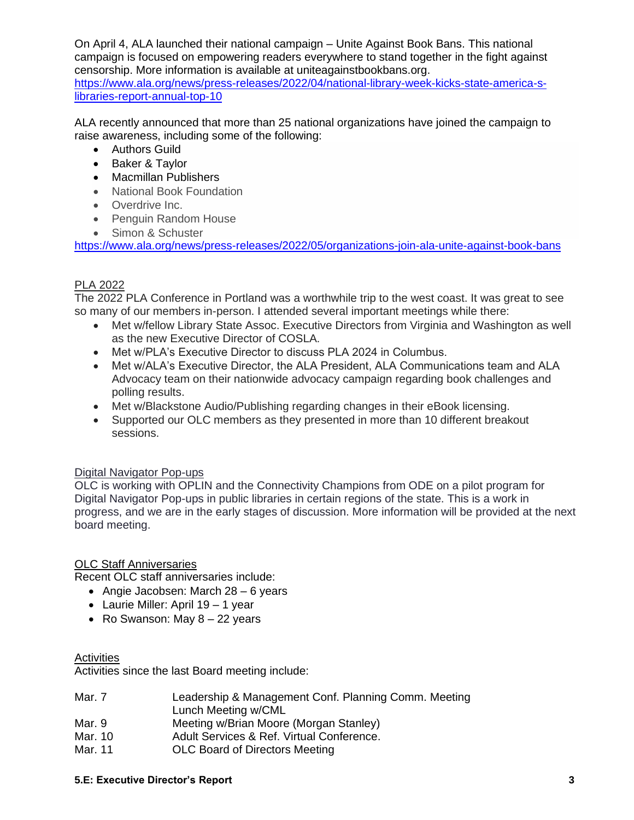On April 4, ALA launched their national campaign – Unite Against Book Bans. This national campaign is focused on empowering readers everywhere to stand together in the fight against censorship. More information is available at uniteagainstbookbans.org. [https://www.ala.org/news/press-releases/2022/04/national-library-week-kicks-state-america-s](https://www.ala.org/news/press-releases/2022/04/national-library-week-kicks-state-america-s-libraries-report-annual-top-10)[libraries-report-annual-top-10](https://www.ala.org/news/press-releases/2022/04/national-library-week-kicks-state-america-s-libraries-report-annual-top-10)

ALA recently announced that more than 25 national organizations have joined the campaign to raise awareness, including some of the following:

- Authors Guild
- Baker & Taylor
- Macmillan Publishers
- National Book Foundation
- Overdrive Inc.
- Penguin Random House
- Simon & Schuster

<https://www.ala.org/news/press-releases/2022/05/organizations-join-ala-unite-against-book-bans>

### PLA 2022

The 2022 PLA Conference in Portland was a worthwhile trip to the west coast. It was great to see so many of our members in-person. I attended several important meetings while there:

- Met w/fellow Library State Assoc. Executive Directors from Virginia and Washington as well as the new Executive Director of COSLA.
- Met w/PLA's Executive Director to discuss PLA 2024 in Columbus.
- Met w/ALA's Executive Director, the ALA President, ALA Communications team and ALA Advocacy team on their nationwide advocacy campaign regarding book challenges and polling results.
- Met w/Blackstone Audio/Publishing regarding changes in their eBook licensing.
- Supported our OLC members as they presented in more than 10 different breakout sessions.

### Digital Navigator Pop-ups

OLC is working with OPLIN and the Connectivity Champions from ODE on a pilot program for Digital Navigator Pop-ups in public libraries in certain regions of the state. This is a work in progress, and we are in the early stages of discussion. More information will be provided at the next board meeting.

### OLC Staff Anniversaries

Recent OLC staff anniversaries include:

- Angie Jacobsen: March 28 6 years
- Laurie Miller: April 19 1 year
- Ro Swanson: May  $8 22$  years

### **Activities**

Activities since the last Board meeting include:

| Mar. 7  | Leadership & Management Conf. Planning Comm. Meeting                                                      |
|---------|-----------------------------------------------------------------------------------------------------------|
|         | Lunch Meeting w/CML                                                                                       |
| Mar. 9  | Meeting w/Brian Moore (Morgan Stanley)                                                                    |
| Mar. 10 | Adult Services & Ref. Virtual Conference.                                                                 |
| .       | $\bigcap_{i=1}^n$ and $\bigcap_{i=1}^n$ and $\bigcap_{i=1}^n$ and $\bigcap_{i=1}^n$ and $\bigcap_{i=1}^n$ |

Mar. 11 OLC Board of Directors Meeting

#### **5.E: Executive Director's Report 3**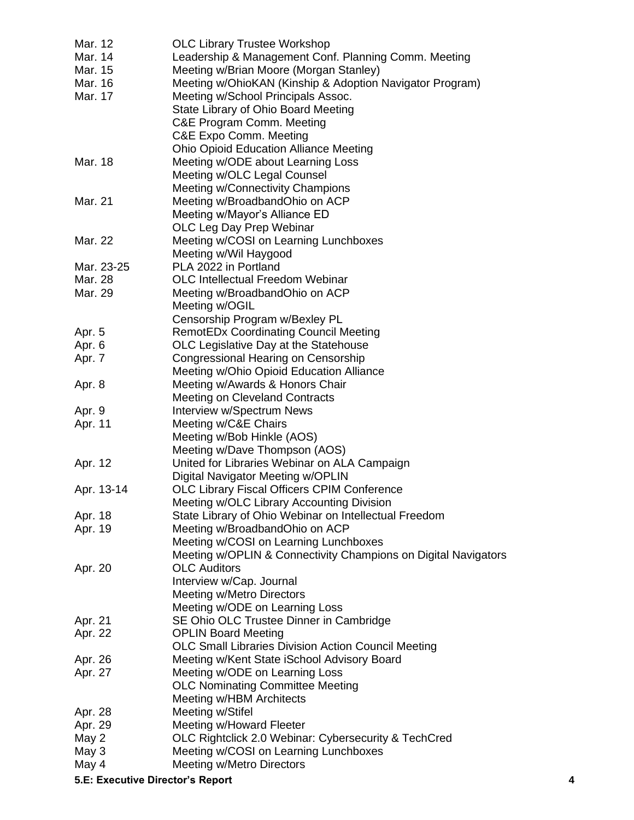| Mar. 12<br>Mar. 14 | <b>OLC Library Trustee Workshop</b><br>Leadership & Management Conf. Planning Comm. Meeting |
|--------------------|---------------------------------------------------------------------------------------------|
| Mar. 15            | Meeting w/Brian Moore (Morgan Stanley)                                                      |
| Mar. 16            | Meeting w/OhioKAN (Kinship & Adoption Navigator Program)                                    |
| Mar. 17            | Meeting w/School Principals Assoc.                                                          |
|                    | State Library of Ohio Board Meeting                                                         |
|                    | C&E Program Comm. Meeting                                                                   |
|                    | C&E Expo Comm. Meeting                                                                      |
|                    | <b>Ohio Opioid Education Alliance Meeting</b>                                               |
| Mar. 18            | Meeting w/ODE about Learning Loss                                                           |
|                    | Meeting w/OLC Legal Counsel                                                                 |
|                    | Meeting w/Connectivity Champions                                                            |
| Mar. 21            | Meeting w/BroadbandOhio on ACP                                                              |
|                    | Meeting w/Mayor's Alliance ED                                                               |
|                    | OLC Leg Day Prep Webinar                                                                    |
| Mar. 22            | Meeting w/COSI on Learning Lunchboxes                                                       |
|                    | Meeting w/Wil Haygood                                                                       |
| Mar. 23-25         | PLA 2022 in Portland                                                                        |
| Mar. 28            | <b>OLC Intellectual Freedom Webinar</b>                                                     |
| Mar. 29            | Meeting w/BroadbandOhio on ACP                                                              |
|                    | Meeting w/OGIL                                                                              |
|                    | Censorship Program w/Bexley PL                                                              |
| Apr. 5             | <b>RemotEDx Coordinating Council Meeting</b>                                                |
| Apr. 6             | OLC Legislative Day at the Statehouse                                                       |
| Apr. 7             | Congressional Hearing on Censorship                                                         |
|                    | Meeting w/Ohio Opioid Education Alliance                                                    |
| Apr. 8             | Meeting w/Awards & Honors Chair                                                             |
|                    | <b>Meeting on Cleveland Contracts</b>                                                       |
| Apr. 9             | Interview w/Spectrum News                                                                   |
| Apr. 11            | Meeting w/C&E Chairs                                                                        |
|                    | Meeting w/Bob Hinkle (AOS)                                                                  |
|                    | Meeting w/Dave Thompson (AOS)                                                               |
| Apr. 12            | United for Libraries Webinar on ALA Campaign                                                |
|                    | Digital Navigator Meeting w/OPLIN                                                           |
| Apr. 13-14         | OLC Library Fiscal Officers CPIM Conference                                                 |
|                    | Meeting w/OLC Library Accounting Division                                                   |
| Apr. 18            | State Library of Ohio Webinar on Intellectual Freedom                                       |
| Apr. 19            | Meeting w/BroadbandOhio on ACP                                                              |
|                    | Meeting w/COSI on Learning Lunchboxes                                                       |
|                    | Meeting w/OPLIN & Connectivity Champions on Digital Navigators                              |
| Apr. 20            | <b>OLC Auditors</b>                                                                         |
|                    | Interview w/Cap. Journal                                                                    |
|                    | <b>Meeting w/Metro Directors</b>                                                            |
|                    | Meeting w/ODE on Learning Loss                                                              |
| Apr. 21            | SE Ohio OLC Trustee Dinner in Cambridge                                                     |
| Apr. 22            | <b>OPLIN Board Meeting</b>                                                                  |
|                    | <b>OLC Small Libraries Division Action Council Meeting</b>                                  |
| Apr. 26            | Meeting w/Kent State iSchool Advisory Board                                                 |
| Apr. 27            | Meeting w/ODE on Learning Loss                                                              |
|                    | <b>OLC Nominating Committee Meeting</b>                                                     |
|                    | Meeting w/HBM Architects                                                                    |
| Apr. 28            | Meeting w/Stifel                                                                            |
| Apr. 29            | Meeting w/Howard Fleeter                                                                    |
| May 2              | OLC Rightclick 2.0 Webinar: Cybersecurity & TechCred                                        |
| May 3              | Meeting w/COSI on Learning Lunchboxes                                                       |
| May 4              | Meeting w/Metro Directors                                                                   |

**5.E: Executive Director's Report 4**